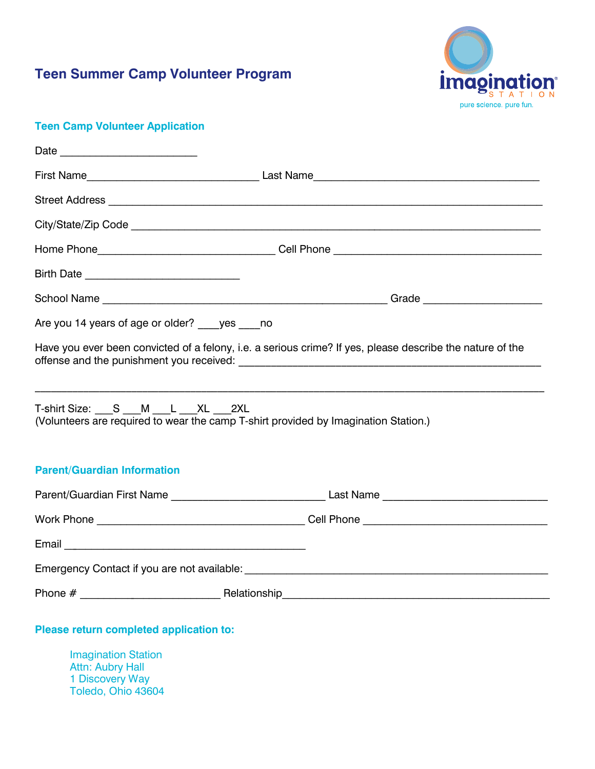

### **Teen Camp Volunteer Application**

|                                                                                                                                   | Home Phone__________________________________Cell Phone __________________________                         |  |  |  |  |
|-----------------------------------------------------------------------------------------------------------------------------------|-----------------------------------------------------------------------------------------------------------|--|--|--|--|
|                                                                                                                                   |                                                                                                           |  |  |  |  |
|                                                                                                                                   |                                                                                                           |  |  |  |  |
| Are you 14 years of age or older? ____ yes ____ no                                                                                |                                                                                                           |  |  |  |  |
|                                                                                                                                   | Have you ever been convicted of a felony, i.e. a serious crime? If yes, please describe the nature of the |  |  |  |  |
| T-shirt Size: S ___ M ___ L ___ XL ___ 2XL<br>(Volunteers are required to wear the camp T-shirt provided by Imagination Station.) |                                                                                                           |  |  |  |  |
| <b>Parent/Guardian Information</b>                                                                                                |                                                                                                           |  |  |  |  |
|                                                                                                                                   |                                                                                                           |  |  |  |  |
|                                                                                                                                   | Work Phone <b>Cell Phone Cell Phone Cell Phone</b>                                                        |  |  |  |  |
|                                                                                                                                   |                                                                                                           |  |  |  |  |
|                                                                                                                                   |                                                                                                           |  |  |  |  |
|                                                                                                                                   |                                                                                                           |  |  |  |  |

### **Please return completed application to:**

Imagination Station Attn: Aubry Hall 1 Discovery Way Toledo, Ohio 43604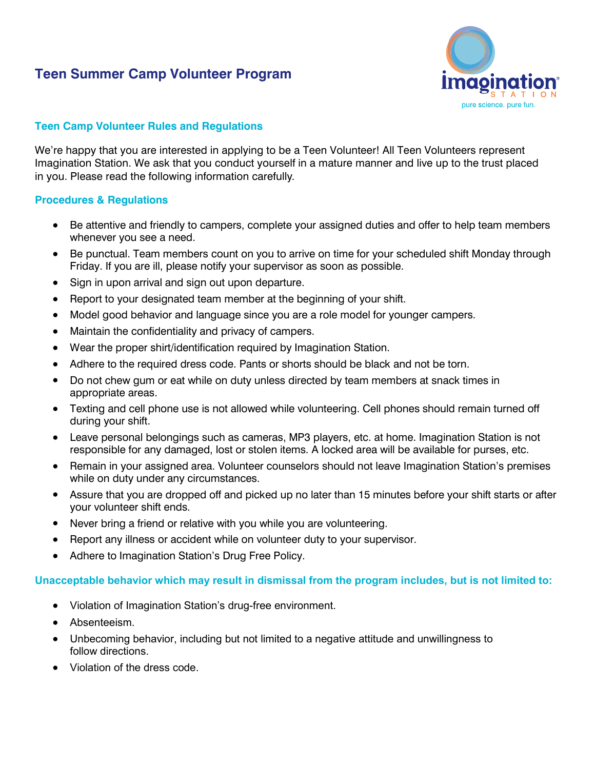

### **Teen Camp Volunteer Rules and Regulations**

We're happy that you are interested in applying to be a Teen Volunteer! All Teen Volunteers represent Imagination Station. We ask that you conduct yourself in a mature manner and live up to the trust placed in you. Please read the following information carefully.

### **Procedures & Regulations**

- Be attentive and friendly to campers, complete your assigned duties and offer to help team members whenever you see a need.
- Be punctual. Team members count on you to arrive on time for your scheduled shift Monday through Friday. If you are ill, please notify your supervisor as soon as possible.
- Sign in upon arrival and sign out upon departure.
- Report to your designated team member at the beginning of your shift.
- Model good behavior and language since you are a role model for younger campers.
- Maintain the confidentiality and privacy of campers.
- Wear the proper shirt/identification required by Imagination Station.
- Adhere to the required dress code. Pants or shorts should be black and not be torn.
- Do not chew gum or eat while on duty unless directed by team members at snack times in appropriate areas.
- Texting and cell phone use is not allowed while volunteering. Cell phones should remain turned off during your shift.
- Leave personal belongings such as cameras, MP3 players, etc. at home. Imagination Station is not responsible for any damaged, lost or stolen items. A locked area will be available for purses, etc.
- Remain in your assigned area. Volunteer counselors should not leave Imagination Station's premises while on duty under any circumstances.
- Assure that you are dropped off and picked up no later than <sup>15</sup> minutes before your shift starts or after your volunteer shift ends.
- Never bring a friend or relative with you while you are volunteering.
- Report any illness or accident while on volunteer duty to your supervisor.
- Adhere to Imagination Station's Drug Free Policy.

### **Unacceptable behavior which may result in dismissal from the program includes, but is not limited to:**

- Violation of Imagination Station's drug-free environment.
- Absenteeism.
- Unbecoming behavior, including but not limited to a negative attitude and unwillingness to follow directions.
- Violation of the dress code.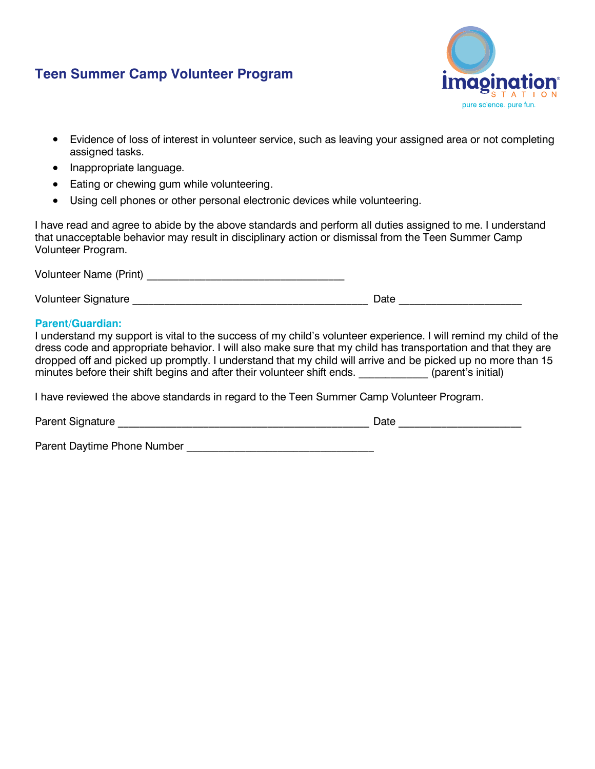

- Evidence of loss of interest in volunteer service, such as leaving your assigned area or not completing assigned tasks.
- Inappropriate language.
- Eating or chewing gum while volunteering.
- Using cell phones or other personal electronic devices while volunteering.

I have read and agree to abide by the above standards and perform all duties assigned to me. I understand that unacceptable behavior may result in disciplinary action or dismissal from the Teen Summer Camp Volunteer Program.

Volunteer Name (Print) **We have also contained the vertice of the vertice of the vertice of the vertice of the vertice of the vertice of the vertice of the vertice of the vertice of the vertice of the vertice of the vertic** Volunteer Signature \_\_\_\_\_\_\_\_\_\_\_\_\_\_\_\_\_\_\_\_\_\_\_\_\_\_\_\_\_\_\_\_\_\_\_\_\_\_\_\_\_\_\_\_ Date \_\_\_\_\_\_\_\_\_\_\_\_\_\_\_\_\_\_\_\_\_\_\_

### **Parent/Guardian:**

I understand my support is vital to the success of my child's volunteer experience. I will remind my child of the dress code and appropriate behavior. I will also make sure that my child has transportation and that they are dropped off and picked up promptly. I understand that my child will arrive and be picked up no more than 15 minutes before their shift begins and after their volunteer shift ends. \_\_\_\_\_\_\_\_\_\_\_\_\_\_\_\_ (parent's initial)

I have reviewed the above standards in regard to the Teen Summer Camp Volunteer Program.

| <b>Parent Signature</b> | Jate |  |
|-------------------------|------|--|
|                         |      |  |

Parent Daytime Phone Number **Example 20** Number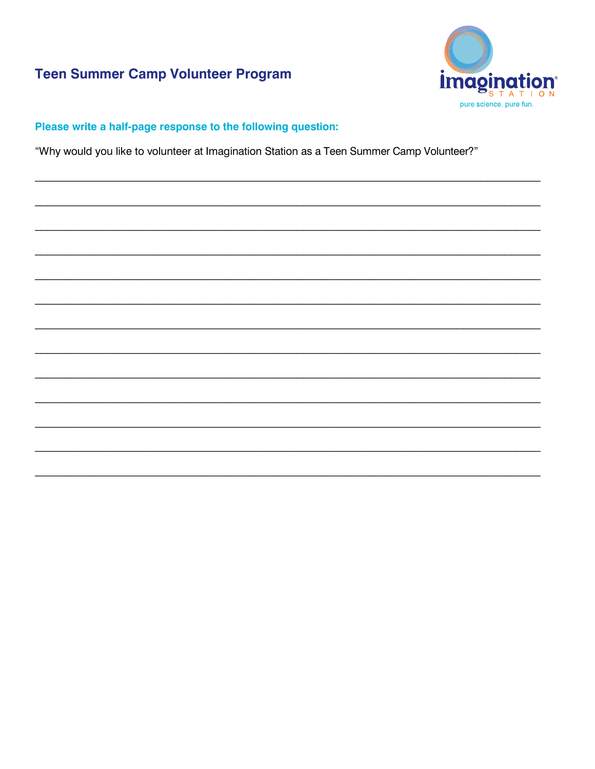

## Please write a half-page response to the following question:

"Why would you like to volunteer at Imagination Station as a Teen Summer Camp Volunteer?"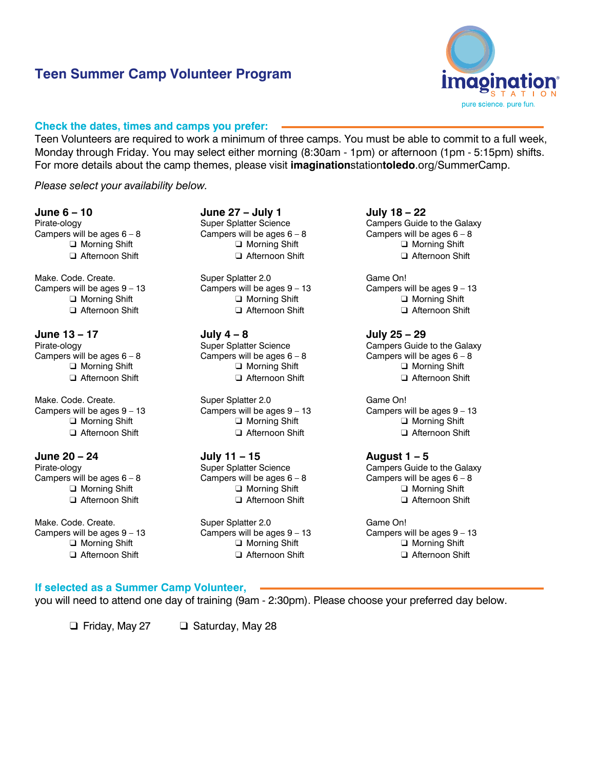

#### **Check the dates, times and camps you prefer:**

Teen Volunteers are required to work a minimum of three camps. You must be able to commit to a full week, Monday through Friday. You may select either morning (8:30am - 1pm) or afternoon (1pm - 5:15pm) shifts. For more details about the camp themes, please visit **imagination**station**toledo**.org/SummerCamp.

*Please select your availability below.* 

#### **June 6 – 10**

Pirate-ology Campers will be ages  $6 - 8$ ❑ Morning Shift ❑ Afternoon Shift

Make. Code. Create. Campers will be ages 9 – 13 ❑ Morning Shift ❑ Afternoon Shift

**June 13 – 17** Pirate-ology Campers will be ages  $6 - 8$ ❑ Morning Shift ❑ Afternoon Shift

Make. Code. Create. Campers will be ages 9 – 13 ❑ Morning Shift ❑ Afternoon Shift

**June 20 – 24** Pirate-ology Campers will be ages  $6 - 8$ ❑ Morning Shift ❑ Afternoon Shift

Make. Code. Create. Campers will be ages 9 – 13 ❑ Morning Shift □ Afternoon Shift

**June 27 – July 1** Super Splatter Science Campers will be ages  $6 - 8$ ❑ Morning Shift ❑ Afternoon Shift

Super Splatter 2.0 Campers will be ages 9 – 13 ❑ Morning Shift ❑ Afternoon Shift

**July 4 – 8** Super Splatter Science Campers will be ages  $6 - 8$ ❑ Morning Shift ❑ Afternoon Shift

Super Splatter 2.0 Campers will be ages 9 – 13 ❑ Morning Shift ❑ Afternoon Shift

**July 11 – 15** Super Splatter Science Campers will be ages  $6 - 8$ ❑ Morning Shift ❑ Afternoon Shift

Super Splatter 2.0 Campers will be ages 9 – 13 ❑ Morning Shift ❑ Afternoon Shift

**July 18 – 22** Campers Guide to the Galaxy Campers will be ages  $6 - 8$ ❑ Morning Shift ❑ Afternoon Shift

Game On! Campers will be ages 9 – 13 ❑ Morning Shift ❑ Afternoon Shift

**July 25 – 29** Campers Guide to the Galaxy Campers will be ages  $6 - 8$ ❑ Morning Shift ❑ Afternoon Shift

Game On! Campers will be ages 9 – 13 ❑ Morning Shift ❑ Afternoon Shift

**August 1 – 5** Campers Guide to the Galaxy Campers will be ages  $6 - 8$ ❑ Morning Shift ❑ Afternoon Shift

Game On! Campers will be ages 9 – 13 ❑ Morning Shift ❑ Afternoon Shift

### **If selected as a Summer Camp Volunteer,**

you will need to attend one day of training (9am - 2:30pm). Please choose your preferred day below.

❑ Friday, May 27 ❑ Saturday, May 28